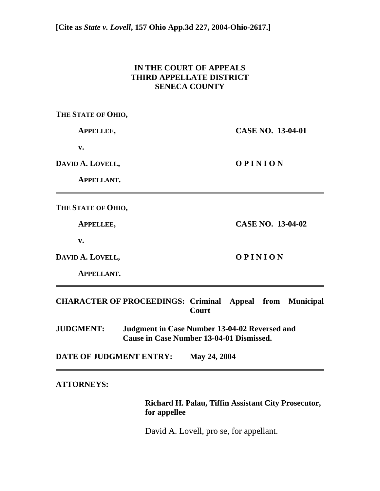## **IN THE COURT OF APPEALS THIRD APPELLATE DISTRICT SENECA COUNTY**

**THE STATE OF OHIO,** 

 **APPELLEE, CASE NO. 13-04-01** 

 **v.** 

DAVID A. LOVELL, **O P I N I O N** 

 **APPELLANT.** 

**THE STATE OF OHIO,** 

 **APPELLEE, CASE NO. 13-04-02** 

 **v.** 

DAVID A. LOVELL, **O P I N I O N** 

 **APPELLANT.** 

**CHARACTER OF PROCEEDINGS: Criminal Appeal from Municipal Court** 

**JUDGMENT: Judgment in Case Number 13-04-02 Reversed and Cause in Case Number 13-04-01 Dismissed.** 

**DATE OF JUDGMENT ENTRY: May 24, 2004** 

## **ATTORNEYS:**

 **Richard H. Palau, Tiffin Assistant City Prosecutor, for appellee** 

David A. Lovell, pro se, for appellant.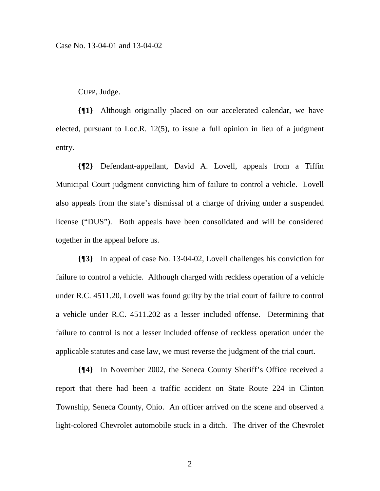CUPP, Judge.

**{¶1}** Although originally placed on our accelerated calendar, we have elected, pursuant to Loc.R. 12(5), to issue a full opinion in lieu of a judgment entry.

**{¶2}** Defendant-appellant, David A. Lovell, appeals from a Tiffin Municipal Court judgment convicting him of failure to control a vehicle. Lovell also appeals from the state's dismissal of a charge of driving under a suspended license ("DUS"). Both appeals have been consolidated and will be considered together in the appeal before us.

**{¶3}** In appeal of case No. 13-04-02, Lovell challenges his conviction for failure to control a vehicle. Although charged with reckless operation of a vehicle under R.C. 4511.20, Lovell was found guilty by the trial court of failure to control a vehicle under R.C. 4511.202 as a lesser included offense. Determining that failure to control is not a lesser included offense of reckless operation under the applicable statutes and case law, we must reverse the judgment of the trial court.

**{¶4}** In November 2002, the Seneca County Sheriff's Office received a report that there had been a traffic accident on State Route 224 in Clinton Township, Seneca County, Ohio. An officer arrived on the scene and observed a light-colored Chevrolet automobile stuck in a ditch. The driver of the Chevrolet

2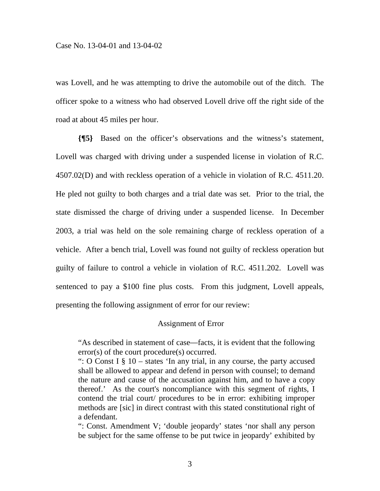was Lovell, and he was attempting to drive the automobile out of the ditch. The officer spoke to a witness who had observed Lovell drive off the right side of the road at about 45 miles per hour.

**{¶5}** Based on the officer's observations and the witness's statement, Lovell was charged with driving under a suspended license in violation of R.C. 4507.02(D) and with reckless operation of a vehicle in violation of R.C. 4511.20. He pled not guilty to both charges and a trial date was set. Prior to the trial, the state dismissed the charge of driving under a suspended license. In December 2003, a trial was held on the sole remaining charge of reckless operation of a vehicle. After a bench trial, Lovell was found not guilty of reckless operation but guilty of failure to control a vehicle in violation of R.C. 4511.202. Lovell was sentenced to pay a \$100 fine plus costs. From this judgment, Lovell appeals, presenting the following assignment of error for our review:

## Assignment of Error

"As described in statement of case*—*facts, it is evident that the following error(s) of the court procedure(s) occurred.

": O Const I  $\S$  10 – states 'In any trial, in any course, the party accused shall be allowed to appear and defend in person with counsel; to demand the nature and cause of the accusation against him, and to have a copy thereof.' As the court's noncompliance with this segment of rights, I contend the trial court/ procedures to be in error: exhibiting improper methods are [sic] in direct contrast with this stated constitutional right of a defendant.

": Const. Amendment V; 'double jeopardy' states 'nor shall any person be subject for the same offense to be put twice in jeopardy' exhibited by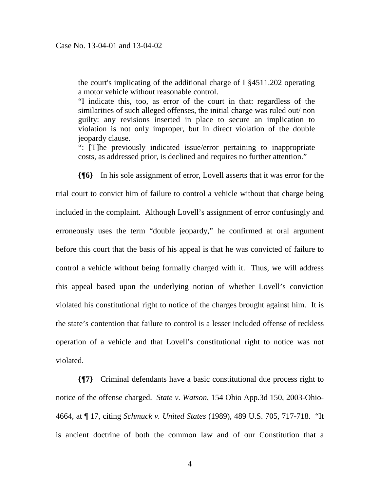the court's implicating of the additional charge of I §4511.202 operating a motor vehicle without reasonable control.

"I indicate this, too, as error of the court in that: regardless of the similarities of such alleged offenses, the initial charge was ruled out/ non guilty: any revisions inserted in place to secure an implication to violation is not only improper, but in direct violation of the double jeopardy clause.

": [T]he previously indicated issue/error pertaining to inappropriate costs, as addressed prior, is declined and requires no further attention."

**{¶6}** In his sole assignment of error, Lovell asserts that it was error for the trial court to convict him of failure to control a vehicle without that charge being included in the complaint. Although Lovell's assignment of error confusingly and erroneously uses the term "double jeopardy," he confirmed at oral argument before this court that the basis of his appeal is that he was convicted of failure to control a vehicle without being formally charged with it. Thus, we will address this appeal based upon the underlying notion of whether Lovell's conviction violated his constitutional right to notice of the charges brought against him. It is the state's contention that failure to control is a lesser included offense of reckless operation of a vehicle and that Lovell's constitutional right to notice was not violated.

**{¶7}** Criminal defendants have a basic constitutional due process right to notice of the offense charged. *State v. Watson*, 154 Ohio App.3d 150, 2003-Ohio-4664, at ¶ 17, citing *Schmuck v. United States* (1989), 489 U.S. 705, 717-718. "It is ancient doctrine of both the common law and of our Constitution that a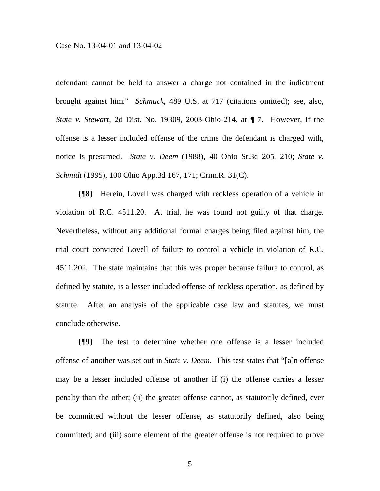defendant cannot be held to answer a charge not contained in the indictment brought against him." *Schmuck*, 489 U.S. at 717 (citations omitted); see, also, *State v. Stewart,* 2d Dist. No. 19309, 2003-Ohio-214, at ¶ 7. However, if the offense is a lesser included offense of the crime the defendant is charged with, notice is presumed. *State v. Deem* (1988), 40 Ohio St.3d 205, 210; *State v. Schmidt* (1995), 100 Ohio App.3d 167, 171; Crim.R. 31(C).

**{¶8}** Herein, Lovell was charged with reckless operation of a vehicle in violation of R.C. 4511.20. At trial, he was found not guilty of that charge. Nevertheless, without any additional formal charges being filed against him, the trial court convicted Lovell of failure to control a vehicle in violation of R.C. 4511.202. The state maintains that this was proper because failure to control, as defined by statute, is a lesser included offense of reckless operation, as defined by statute. After an analysis of the applicable case law and statutes, we must conclude otherwise.

**{¶9}** The test to determine whether one offense is a lesser included offense of another was set out in *State v. Deem*. This test states that "[a]n offense may be a lesser included offense of another if (i) the offense carries a lesser penalty than the other; (ii) the greater offense cannot, as statutorily defined, ever be committed without the lesser offense, as statutorily defined, also being committed; and (iii) some element of the greater offense is not required to prove

5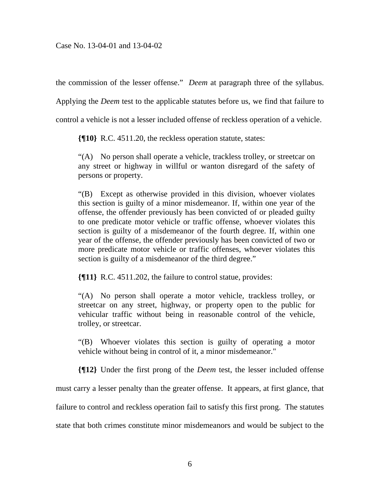the commission of the lesser offense." *Deem* at paragraph three of the syllabus.

Applying the *Deem* test to the applicable statutes before us, we find that failure to

control a vehicle is not a lesser included offense of reckless operation of a vehicle.

**{¶10}** R.C. 4511.20, the reckless operation statute, states:

"(A) No person shall operate a vehicle, trackless trolley, or streetcar on any street or highway in willful or wanton disregard of the safety of persons or property.

"(B) Except as otherwise provided in this division, whoever violates this section is guilty of a minor misdemeanor. If, within one year of the offense, the offender previously has been convicted of or pleaded guilty to one predicate motor vehicle or traffic offense, whoever violates this section is guilty of a misdemeanor of the fourth degree. If, within one year of the offense, the offender previously has been convicted of two or more predicate motor vehicle or traffic offenses, whoever violates this section is guilty of a misdemeanor of the third degree."

**{¶11}** R.C. 4511.202, the failure to control statue, provides:

"(A) No person shall operate a motor vehicle, trackless trolley, or streetcar on any street, highway, or property open to the public for vehicular traffic without being in reasonable control of the vehicle, trolley, or streetcar.

"(B) Whoever violates this section is guilty of operating a motor vehicle without being in control of it, a minor misdemeanor."

**{¶12}** Under the first prong of the *Deem* test, the lesser included offense must carry a lesser penalty than the greater offense. It appears, at first glance, that failure to control and reckless operation fail to satisfy this first prong. The statutes state that both crimes constitute minor misdemeanors and would be subject to the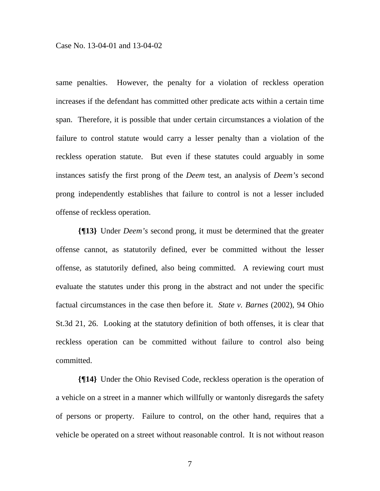same penalties. However, the penalty for a violation of reckless operation increases if the defendant has committed other predicate acts within a certain time span. Therefore, it is possible that under certain circumstances a violation of the failure to control statute would carry a lesser penalty than a violation of the reckless operation statute. But even if these statutes could arguably in some instances satisfy the first prong of the *Deem* test, an analysis of *Deem's* second prong independently establishes that failure to control is not a lesser included offense of reckless operation.

**{¶13}** Under *Deem's* second prong, it must be determined that the greater offense cannot, as statutorily defined, ever be committed without the lesser offense, as statutorily defined, also being committed. A reviewing court must evaluate the statutes under this prong in the abstract and not under the specific factual circumstances in the case then before it. *State v. Barnes* (2002), 94 Ohio St.3d 21, 26. Looking at the statutory definition of both offenses, it is clear that reckless operation can be committed without failure to control also being committed.

**{¶14}** Under the Ohio Revised Code, reckless operation is the operation of a vehicle on a street in a manner which willfully or wantonly disregards the safety of persons or property. Failure to control, on the other hand, requires that a vehicle be operated on a street without reasonable control. It is not without reason

7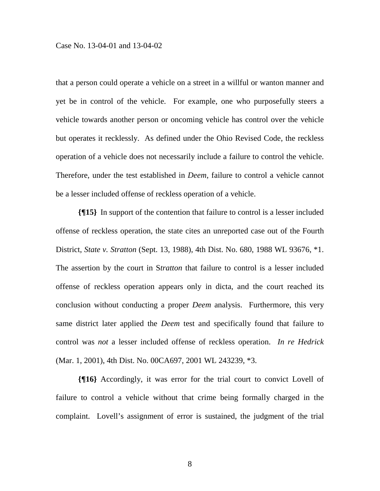that a person could operate a vehicle on a street in a willful or wanton manner and yet be in control of the vehicle. For example, one who purposefully steers a vehicle towards another person or oncoming vehicle has control over the vehicle but operates it recklessly. As defined under the Ohio Revised Code, the reckless operation of a vehicle does not necessarily include a failure to control the vehicle. Therefore, under the test established in *Deem*, failure to control a vehicle cannot be a lesser included offense of reckless operation of a vehicle.

**{¶15}** In support of the contention that failure to control is a lesser included offense of reckless operation, the state cites an unreported case out of the Fourth District, *State v. Stratton* (Sept. 13, 1988), 4th Dist. No. 680, 1988 WL 93676, \*1. The assertion by the court in S*tratton* that failure to control is a lesser included offense of reckless operation appears only in dicta, and the court reached its conclusion without conducting a proper *Deem* analysis. Furthermore, this very same district later applied the *Deem* test and specifically found that failure to control was *not* a lesser included offense of reckless operation. *In re Hedrick* (Mar. 1, 2001), 4th Dist. No. 00CA697, 2001 WL 243239, \*3.

**{¶16}** Accordingly, it was error for the trial court to convict Lovell of failure to control a vehicle without that crime being formally charged in the complaint. Lovell's assignment of error is sustained, the judgment of the trial